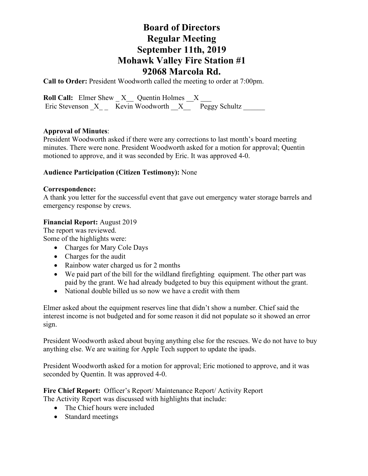## **Board of Directors Regular Meeting September 11th, 2019 Mohawk Valley Fire Station #1 92068 Marcola Rd.**

**Call to Order:** President Woodworth called the meeting to order at 7:00pm.

**Roll Call:** Elmer Shew  $X$  Quentin Holmes X Eric Stevenson X \_ Kevin Woodworth X Peggy Schultz

### **Approval of Minutes**:

President Woodworth asked if there were any corrections to last month's board meeting minutes. There were none. President Woodworth asked for a motion for approval; Quentin motioned to approve, and it was seconded by Eric. It was approved 4-0.

### **Audience Participation (Citizen Testimony):** None

#### **Correspondence:**

A thank you letter for the successful event that gave out emergency water storage barrels and emergency response by crews.

### **Financial Report:** August 2019

The report was reviewed. Some of the highlights were:

- Charges for Mary Cole Days
- Charges for the audit
- Rainbow water charged us for 2 months
- We paid part of the bill for the wildland firefighting equipment. The other part was paid by the grant. We had already budgeted to buy this equipment without the grant.
- National double billed us so now we have a credit with them

Elmer asked about the equipment reserves line that didn't show a number. Chief said the interest income is not budgeted and for some reason it did not populate so it showed an error sign.

President Woodworth asked about buying anything else for the rescues. We do not have to buy anything else. We are waiting for Apple Tech support to update the ipads.

President Woodworth asked for a motion for approval; Eric motioned to approve, and it was seconded by Quentin. It was approved 4-0.

**Fire Chief Report:** Officer's Report/ Maintenance Report/ Activity Report The Activity Report was discussed with highlights that include:

- The Chief hours were included
- Standard meetings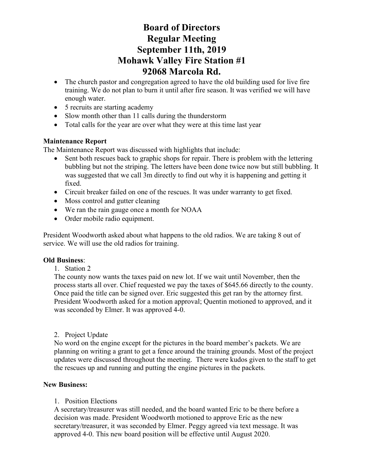# **Board of Directors Regular Meeting September 11th, 2019 Mohawk Valley Fire Station #1 92068 Marcola Rd.**

- The church pastor and congregation agreed to have the old building used for live fire training. We do not plan to burn it until after fire season. It was verified we will have enough water.
- 5 recruits are starting academy
- Slow month other than 11 calls during the thunderstorm
- Total calls for the year are over what they were at this time last year

### **Maintenance Report**

The Maintenance Report was discussed with highlights that include:

- Sent both rescues back to graphic shops for repair. There is problem with the lettering bubbling but not the striping. The letters have been done twice now but still bubbling. It was suggested that we call 3m directly to find out why it is happening and getting it fixed.
- Circuit breaker failed on one of the rescues. It was under warranty to get fixed.
- Moss control and gutter cleaning
- We ran the rain gauge once a month for NOAA
- Order mobile radio equipment.

President Woodworth asked about what happens to the old radios. We are taking 8 out of service. We will use the old radios for training.

### **Old Business**:

### 1. Station 2

The county now wants the taxes paid on new lot. If we wait until November, then the process starts all over. Chief requested we pay the taxes of \$645.66 directly to the county. Once paid the title can be signed over. Eric suggested this get ran by the attorney first. President Woodworth asked for a motion approval; Quentin motioned to approved, and it was seconded by Elmer. It was approved 4-0.

### 2. Project Update

No word on the engine except for the pictures in the board member's packets. We are planning on writing a grant to get a fence around the training grounds. Most of the project updates were discussed throughout the meeting. There were kudos given to the staff to get the rescues up and running and putting the engine pictures in the packets.

### **New Business:**

### 1. Position Elections

A secretary/treasurer was still needed, and the board wanted Eric to be there before a decision was made. President Woodworth motioned to approve Eric as the new secretary/treasurer, it was seconded by Elmer. Peggy agreed via text message. It was approved 4-0. This new board position will be effective until August 2020.